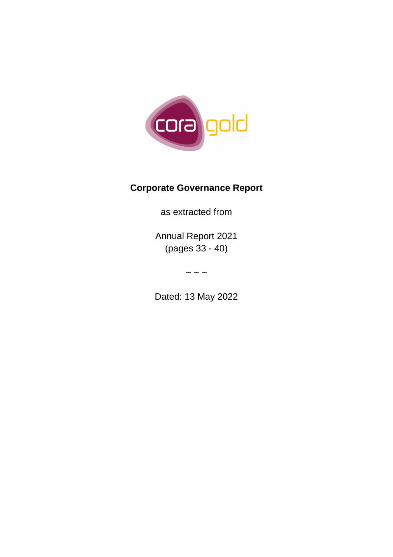

## **Corporate Governance Report**

as extracted from

Annual Report 2021 (pages 33 - 40)

 $\sim$   $\sim$   $\sim$ 

Dated: 13 May 2022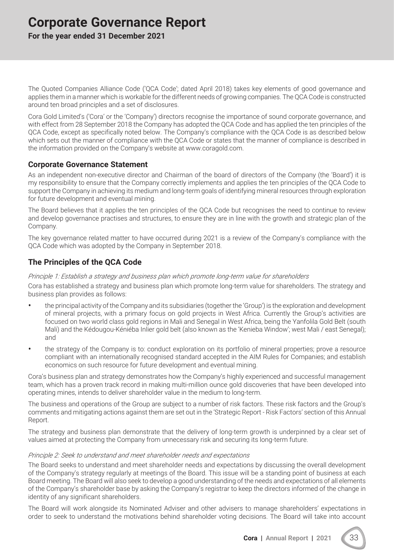# **Corporate Governance Report**

**For the year ended 31 December 2021**

The Quoted Companies Alliance Code ('QCA Code'; dated April 2018) takes key elements of good governance and applies them in a manner which is workable for the different needs of growing companies. The QCA Code is constructed around ten broad principles and a set of disclosures.

Cora Gold Limited's ('Cora' or the 'Company') directors recognise the importance of sound corporate governance, and with effect from 28 September 2018 the Company has adopted the QCA Code and has applied the ten principles of the QCA Code, except as specifically noted below. The Company's compliance with the QCA Code is as described below which sets out the manner of compliance with the QCA Code or states that the manner of compliance is described in the information provided on the Company's website at www.coragold.com.

## **Corporate Governance Statement**

As an independent non-executive director and Chairman of the board of directors of the Company (the 'Board') it is my responsibility to ensure that the Company correctly implements and applies the ten principles of the QCA Code to support the Company in achieving its medium and long-term goals of identifying mineral resources through exploration for future development and eventual mining.

The Board believes that it applies the ten principles of the QCA Code but recognises the need to continue to review and develop governance practises and structures, to ensure they are in line with the growth and strategic plan of the Company.

The key governance related matter to have occurred during 2021 is a review of the Company's compliance with the QCA Code which was adopted by the Company in September 2018.

## **The Principles of the QCA Code**

## *Principle 1: Establish a strategy and business plan which promote long-term value for shareholders*

Cora has established a strategy and business plan which promote long-term value for shareholders. The strategy and business plan provides as follows:

- the principal activity of the Company and its subsidiaries (together the 'Group') is the exploration and development of mineral projects, with a primary focus on gold projects in West Africa. Currently the Group's activities are focused on two world class gold regions in Mali and Senegal in West Africa, being the Yanfolila Gold Belt (south Mali) and the Kédougou-Kéniéba Inlier gold belt (also known as the 'Kenieba Window'; west Mali / east Senegal); and
- the strategy of the Company is to: conduct exploration on its portfolio of mineral properties; prove a resource compliant with an internationally recognised standard accepted in the AIM Rules for Companies; and establish economics on such resource for future development and eventual mining.

Cora's business plan and strategy demonstrates how the Company's highly experienced and successful management team, which has a proven track record in making multi-million ounce gold discoveries that have been developed into operating mines, intends to deliver shareholder value in the medium to long-term.

The business and operations of the Group are subject to a number of risk factors. These risk factors and the Group's comments and mitigating actions against them are set out in the 'Strategic Report - Risk Factors' section of this Annual Report.

The strategy and business plan demonstrate that the delivery of long-term growth is underpinned by a clear set of values aimed at protecting the Company from unnecessary risk and securing its long-term future.

## *Principle 2: Seek to understand and meet shareholder needs and expectations*

The Board seeks to understand and meet shareholder needs and expectations by discussing the overall development of the Company's strategy regularly at meetings of the Board. This issue will be a standing point of business at each Board meeting. The Board will also seek to develop a good understanding of the needs and expectations of all elements of the Company's shareholder base by asking the Company's registrar to keep the directors informed of the change in identity of any significant shareholders.

The Board will work alongside its Nominated Adviser and other advisers to manage shareholders' expectations in order to seek to understand the motivations behind shareholder voting decisions. The Board will take into account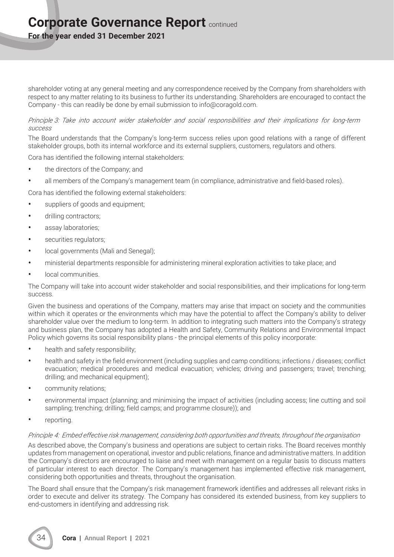## **Corporate Governance Report continued**

**For the year ended 31 December 2021**

shareholder voting at any general meeting and any correspondence received by the Company from shareholders with respect to any matter relating to its business to further its understanding. Shareholders are encouraged to contact the Company - this can readily be done by email submission to info@coragold.com.

## *Principle 3: Take into account wider stakeholder and social responsibilities and their implications for long-term success*

The Board understands that the Company's long-term success relies upon good relations with a range of different stakeholder groups, both its internal workforce and its external suppliers, customers, regulators and others.

Cora has identified the following internal stakeholders:

- the directors of the Company; and
- all members of the Company's management team (in compliance, administrative and field-based roles).

Cora has identified the following external stakeholders:

- suppliers of goods and equipment;
- drilling contractors:
- assay laboratories;
- securities regulators;
- local governments (Mali and Senegal);
- ministerial departments responsible for administering mineral exploration activities to take place; and
- local communities.

The Company will take into account wider stakeholder and social responsibilities, and their implications for long-term success.

Given the business and operations of the Company, matters may arise that impact on society and the communities within which it operates or the environments which may have the potential to affect the Company's ability to deliver shareholder value over the medium to long-term. In addition to integrating such matters into the Company's strategy and business plan, the Company has adopted a Health and Safety, Community Relations and Environmental Impact Policy which governs its social responsibility plans - the principal elements of this policy incorporate:

- health and safety responsibility;
- health and safety in the field environment (including supplies and camp conditions; infections / diseases; conflict evacuation; medical procedures and medical evacuation; vehicles; driving and passengers; travel; trenching; drilling; and mechanical equipment);
- community relations;
- environmental impact (planning; and minimising the impact of activities (including access; line cutting and soil sampling; trenching; drilling; field camps; and programme closure)); and
- reporting.

## *Principle 4: Embed effective risk management, considering both opportunities and threats, throughout the organisation*

As described above, the Company's business and operations are subject to certain risks. The Board receives monthly updates from management on operational, investor and public relations, finance and administrative matters. In addition the Company's directors are encouraged to liaise and meet with management on a regular basis to discuss matters of particular interest to each director. The Company's management has implemented effective risk management, considering both opportunities and threats, throughout the organisation.

The Board shall ensure that the Company's risk management framework identifies and addresses all relevant risks in order to execute and deliver its strategy. The Company has considered its extended business, from key suppliers to end-customers in identifying and addressing risk.

34 **Cora | Annual Report | 2021**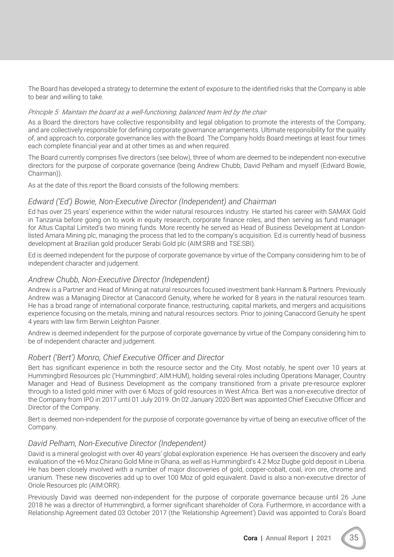The Board has developed a strategy to determine the extent of exposure to the identified risks that the Company is able to bear and willing to take.

## *Principle 5: Maintain the board as a well-functioning, balanced team led by the chair*

As a Board the directors have collective responsibility and legal obligation to promote the interests of the Company, and are collectively responsible for defining corporate governance arrangements. Ultimate responsibility for the quality of, and approach to, corporate governance lies with the Board. The Company holds Board meetings at least four times each complete financial year and at other times as and when required.

The Board currently comprises five directors (see below), three of whom are deemed to be independent non-executive directors for the purpose of corporate governance (being Andrew Chubb, David Pelham and myself (Edward Bowie, Chairman)).

As at the date of this report the Board consists of the following members:

## *Edward ('Ed') Bowie, Non-Executive Director (Independent) and Chairman*

Ed has over 25 years' experience within the wider natural resources industry. He started his career with SAMAX Gold in Tanzania before going on to work in equity research, corporate finance roles, and then serving as fund manager for Altus Capital Limited's two mining funds. More recently he served as Head of Business Development at Londonlisted Amara Mining plc, managing the process that led to the company's acquisition. Ed is currently head of business development at Brazilian gold producer Serabi Gold plc (AIM:SRB and TSE:SBI).

Ed is deemed independent for the purpose of corporate governance by virtue of the Company considering him to be of independent character and judgement.

## *Andrew Chubb, Non-Executive Director (Independent)*

Andrew is a Partner and Head of Mining at natural resources focused investment bank Hannam & Partners. Previously Andrew was a Managing Director at Canaccord Genuity, where he worked for 8 years in the natural resources team. He has a broad range of international corporate finance, restructuring, capital markets, and mergers and acquisitions experience focusing on the metals, mining and natural resources sectors. Prior to joining Canaccord Genuity he spent 4 years with law firm Berwin Leighton Paisner.

Andrew is deemed independent for the purpose of corporate governance by virtue of the Company considering him to be of independent character and judgement.

## *Robert ('Bert') Monro, Chief Executive Officer and Director*

Bert has significant experience in both the resource sector and the City. Most notably, he spent over 10 years at Hummingbird Resources plc ('Hummingbird'; AIM:HUM), holding several roles including Operations Manager, Country Manager and Head of Business Development as the company transitioned from a private pre-resource explorer through to a listed gold miner with over 6 Mozs of gold resources in West Africa. Bert was a non-executive director of the Company from IPO in 2017 until 01 July 2019. On 02 January 2020 Bert was appointed Chief Executive Officer and Director of the Company.

Bert is deemed non-independent for the purpose of corporate governance by virtue of being an executive officer of the Company.

## *David Pelham, Non-Executive Director (Independent)*

David is a mineral geologist with over 40 years' global exploration experience. He has overseen the discovery and early evaluation of the +6 Moz Chirano Gold Mine in Ghana, as well as Hummingbird's 4.2 Moz Dugbe gold deposit in Liberia. He has been closely involved with a number of major discoveries of gold, copper-cobalt, coal, iron ore, chrome and uranium. These new discoveries add up to over 100 Moz of gold equivalent. David is also a non-executive director of Oriole Resources plc (AIM:ORR).

Previously David was deemed non-independent for the purpose of corporate governance because until 26 June 2018 he was a director of Hummingbird, a former significant shareholder of Cora. Furthermore, in accordance with a Relationship Agreement dated 03 October 2017 (the 'Relationship Agreement') David was appointed to Cora's Board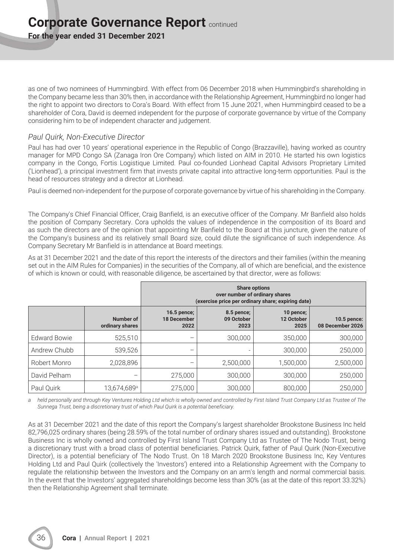**For the year ended 31 December 2021**

as one of two nominees of Hummingbird. With effect from 06 December 2018 when Hummingbird's shareholding in the Company became less than 30% then, in accordance with the Relationship Agreement, Hummingbird no longer had the right to appoint two directors to Cora's Board. With effect from 15 June 2021, when Hummingbird ceased to be a shareholder of Cora, David is deemed independent for the purpose of corporate governance by virtue of the Company considering him to be of independent character and judgement.

## *Paul Quirk, Non-Executive Director*

Paul has had over 10 years' operational experience in the Republic of Congo (Brazzaville), having worked as country manager for MPD Congo SA (Zanaga Iron Ore Company) which listed on AIM in 2010. He started his own logistics company in the Congo, Fortis Logistique Limited. Paul co-founded Lionhead Capital Advisors Proprietary Limited ('Lionhead'), a principal investment firm that invests private capital into attractive long-term opportunities. Paul is the head of resources strategy and a director at Lionhead.

Paul is deemed non-independent for the purpose of corporate governance by virtue of his shareholding in the Company.

The Company's Chief Financial Officer, Craig Banfield, is an executive officer of the Company. Mr Banfield also holds the position of Company Secretary. Cora upholds the values of independence in the composition of its Board and as such the directors are of the opinion that appointing Mr Banfield to the Board at this juncture, given the nature of the Company's business and its relatively small Board size, could dilute the significance of such independence. As Company Secretary Mr Banfield is in attendance at Board meetings.

As at 31 December 2021 and the date of this report the interests of the directors and their families (within the meaning set out in the AIM Rules for Companies) in the securities of the Company, all of which are beneficial, and the existence of which is known or could, with reasonable diligence, be ascertained by that director, were as follows:

|                     |                              | <b>Share options</b><br>over number of ordinary shares<br>(exercise price per ordinary share; expiring date) |                                  |                                 |                                 |  |
|---------------------|------------------------------|--------------------------------------------------------------------------------------------------------------|----------------------------------|---------------------------------|---------------------------------|--|
|                     | Number of<br>ordinary shares | 16.5 pence;<br><b>18 December</b><br>2022                                                                    | 8.5 pence;<br>09 October<br>2023 | 10 pence;<br>12 October<br>2025 | 10.5 pence:<br>08 December 2026 |  |
| <b>Edward Bowie</b> | 525,510                      | $\qquad \qquad -$                                                                                            | 300,000                          | 350,000                         | 300,000                         |  |
| Andrew Chubb        | 539,526                      | $\qquad \qquad -$                                                                                            |                                  | 300,000                         | 250,000                         |  |
| Robert Monro        | 2,028,896                    | $\qquad \qquad -$                                                                                            | 2,500,000                        | 1,500,000                       | 2,500,000                       |  |
| David Pelham        |                              | 275,000                                                                                                      | 300,000                          | 300,000                         | 250,000                         |  |
| Paul Quirk          | 13,674,689 <sup>a</sup>      | 275,000                                                                                                      | 300,000                          | 800,000                         | 250,000                         |  |

*a held personally and through Key Ventures Holding Ltd which is wholly owned and controlled by First Island Trust Company Ltd as Trustee of The Sunnega Trust, being a discretionary trust of which Paul Quirk is a potential beneficiary.*

As at 31 December 2021 and the date of this report the Company's largest shareholder Brookstone Business Inc held 82,796,025 ordinary shares (being 28.59% of the total number of ordinary shares issued and outstanding). Brookstone Business Inc is wholly owned and controlled by First Island Trust Company Ltd as Trustee of The Nodo Trust, being a discretionary trust with a broad class of potential beneficiaries. Patrick Quirk, father of Paul Quirk (Non-Executive Director), is a potential beneficiary of The Nodo Trust. On 18 March 2020 Brookstone Business Inc, Key Ventures Holding Ltd and Paul Quirk (collectively the 'Investors') entered into a Relationship Agreement with the Company to regulate the relationship between the Investors and the Company on an arm's length and normal commercial basis. In the event that the Investors' aggregated shareholdings become less than 30% (as at the date of this report 33.32%) then the Relationship Agreement shall terminate.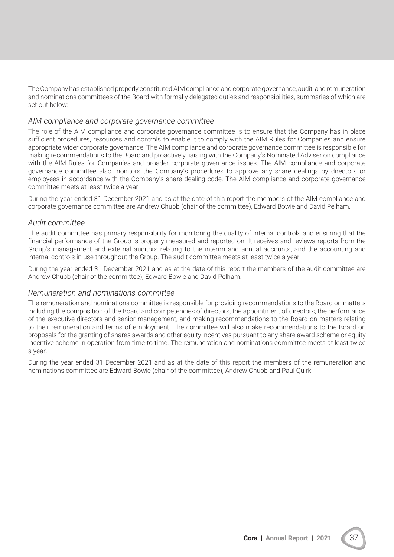The Company has established properly constituted AIM compliance and corporate governance, audit, and remuneration and nominations committees of the Board with formally delegated duties and responsibilities, summaries of which are set out below:

## *AIM compliance and corporate governance committee*

The role of the AIM compliance and corporate governance committee is to ensure that the Company has in place sufficient procedures, resources and controls to enable it to comply with the AIM Rules for Companies and ensure appropriate wider corporate governance. The AIM compliance and corporate governance committee is responsible for making recommendations to the Board and proactively liaising with the Company's Nominated Adviser on compliance with the AIM Rules for Companies and broader corporate governance issues. The AIM compliance and corporate governance committee also monitors the Company's procedures to approve any share dealings by directors or employees in accordance with the Company's share dealing code. The AIM compliance and corporate governance committee meets at least twice a year.

During the year ended 31 December 2021 and as at the date of this report the members of the AIM compliance and corporate governance committee are Andrew Chubb (chair of the committee), Edward Bowie and David Pelham.

## *Audit committee*

The audit committee has primary responsibility for monitoring the quality of internal controls and ensuring that the financial performance of the Group is properly measured and reported on. It receives and reviews reports from the Group's management and external auditors relating to the interim and annual accounts, and the accounting and internal controls in use throughout the Group. The audit committee meets at least twice a year.

During the year ended 31 December 2021 and as at the date of this report the members of the audit committee are Andrew Chubb (chair of the committee), Edward Bowie and David Pelham.

## *Remuneration and nominations committee*

The remuneration and nominations committee is responsible for providing recommendations to the Board on matters including the composition of the Board and competencies of directors, the appointment of directors, the performance of the executive directors and senior management, and making recommendations to the Board on matters relating to their remuneration and terms of employment. The committee will also make recommendations to the Board on proposals for the granting of shares awards and other equity incentives pursuant to any share award scheme or equity incentive scheme in operation from time-to-time. The remuneration and nominations committee meets at least twice a year.

During the year ended 31 December 2021 and as at the date of this report the members of the remuneration and nominations committee are Edward Bowie (chair of the committee), Andrew Chubb and Paul Quirk.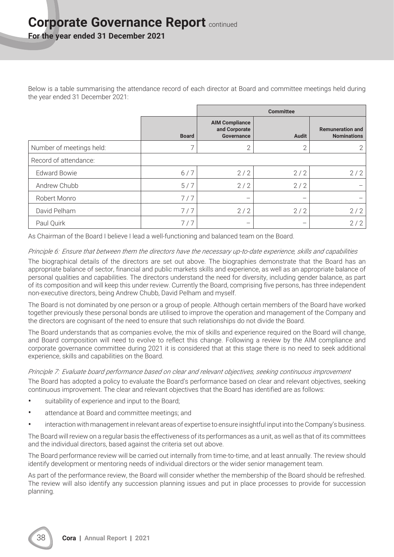## **Corporate Governance Report continued**

**For the year ended 31 December 2021**

Below is a table summarising the attendance record of each director at Board and committee meetings held during the year ended 31 December 2021:

|                          |              | <b>Committee</b>                                     |                          |                                               |
|--------------------------|--------------|------------------------------------------------------|--------------------------|-----------------------------------------------|
|                          | <b>Board</b> | <b>AIM Compliance</b><br>and Corporate<br>Governance | <b>Audit</b>             | <b>Remuneration and</b><br><b>Nominations</b> |
| Number of meetings held: | 7            | $\overline{2}$                                       | 2                        |                                               |
| Record of attendance:    |              |                                                      |                          |                                               |
| <b>Edward Bowie</b>      | 6/7          | 2/2                                                  | 2/2                      | 2/2                                           |
| Andrew Chubb             | 5/7          | 2/2                                                  | 2/2                      |                                               |
| Robert Monro             | 7/7          |                                                      | $\overline{\phantom{0}}$ |                                               |
| David Pelham             | 7/7          | 2/2                                                  | 2/2                      | 2/2                                           |
| Paul Quirk               | 7/7          | $\overline{\phantom{m}}$                             | —                        | 2/2                                           |

As Chairman of the Board I believe I lead a well-functioning and balanced team on the Board.

## *Principle 6: Ensure that between them the directors have the necessary up-to-date experience, skills and capabilities*

The biographical details of the directors are set out above. The biographies demonstrate that the Board has an appropriate balance of sector, financial and public markets skills and experience, as well as an appropriate balance of personal qualities and capabilities. The directors understand the need for diversity, including gender balance, as part of its composition and will keep this under review. Currently the Board, comprising five persons, has three independent non-executive directors, being Andrew Chubb, David Pelham and myself.

The Board is not dominated by one person or a group of people. Although certain members of the Board have worked together previously these personal bonds are utilised to improve the operation and management of the Company and the directors are cognisant of the need to ensure that such relationships do not divide the Board.

The Board understands that as companies evolve, the mix of skills and experience required on the Board will change, and Board composition will need to evolve to reflect this change. Following a review by the AIM compliance and corporate governance committee during 2021 it is considered that at this stage there is no need to seek additional experience, skills and capabilities on the Board.

## *Principle 7: Evaluate board performance based on clear and relevant objectives, seeking continuous improvement*

The Board has adopted a policy to evaluate the Board's performance based on clear and relevant objectives, seeking continuous improvement. The clear and relevant objectives that the Board has identified are as follows:

- suitability of experience and input to the Board;
- attendance at Board and committee meetings; and
- interaction with management in relevant areas of expertise to ensure insightful input into the Company's business.

The Board will review on a regular basis the effectiveness of its performances as a unit, as well as that of its committees and the individual directors, based against the criteria set out above.

The Board performance review will be carried out internally from time-to-time, and at least annually. The review should identify development or mentoring needs of individual directors or the wider senior management team.

As part of the performance review, the Board will consider whether the membership of the Board should be refreshed. The review will also identify any succession planning issues and put in place processes to provide for succession planning.

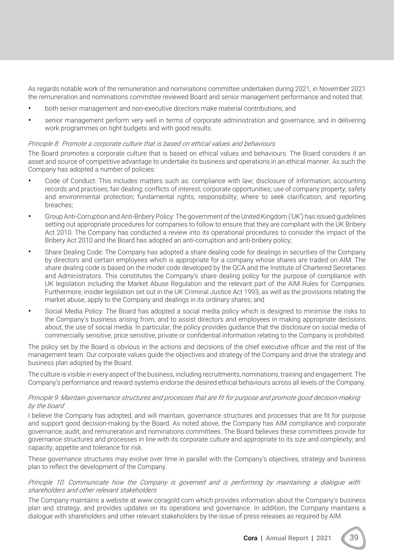As regards notable work of the remuneration and nominations committee undertaken during 2021, in November 2021 the remuneration and nominations committee reviewed Board and senior management performance and noted that:

- both senior management and non-executive directors make material contributions; and
- senior management perform very well in terms of corporate administration and governance, and in delivering work programmes on tight budgets and with good results.

#### *Principle 8: Promote a corporate culture that is based on ethical values and behaviours*

The Board promotes a corporate culture that is based on ethical values and behaviours. The Board considers it an asset and source of competitive advantage to undertake its business and operations in an ethical manner. As such the Company has adopted a number of policies:

- Code of Conduct: This includes matters such as: compliance with law; disclosure of information; accounting records and practises; fair dealing; conflicts of interest; corporate opportunities; use of company property; safety and environmental protection; fundamental rights; responsibility; where to seek clarification; and reporting breaches;
- Group Anti-Corruption and Anti-Bribery Policy: The government of the United Kingdom ('UK') has issued guidelines setting out appropriate procedures for companies to follow to ensure that they are compliant with the UK Bribery Act 2010. The Company has conducted a review into its operational procedures to consider the impact of the Bribery Act 2010 and the Board has adopted an anti-corruption and anti-bribery policy;
- Share Dealing Code: The Company has adopted a share dealing code for dealings in securities of the Company by directors and certain employees which is appropriate for a company whose shares are traded on AIM. The share dealing code is based on the model code developed by the QCA and the Institute of Chartered Secretaries and Administrators. This constitutes the Company's share dealing policy for the purpose of compliance with UK legislation including the Market Abuse Regulation and the relevant part of the AIM Rules for Companies. Furthermore, insider legislation set out in the UK Criminal Justice Act 1993, as well as the provisions relating the market abuse, apply to the Company and dealings in its ordinary shares; and
- Social Media Policy: The Board has adopted a social media policy which is designed to minimise the risks to the Company's business arising from, and to assist directors and employees in making appropriate decisions about, the use of social media. In particular, the policy provides guidance that the disclosure on social media of commercially sensitive, price sensitive, private or confidential information relating to the Company is prohibited.

The policy set by the Board is obvious in the actions and decisions of the chief executive officer and the rest of the management team. Our corporate values guide the objectives and strategy of the Company and drive the strategy and business plan adopted by the Board.

The culture is visible in every aspect of the business, including recruitments, nominations, training and engagement. The Company's performance and reward systems endorse the desired ethical behaviours across all levels of the Company.

#### *Principle 9: Maintain governance structures and processes that are fit for purpose and promote good decision-making by the board*

I believe the Company has adopted, and will maintain, governance structures and processes that are fit for purpose and support good decision-making by the Board. As noted above, the Company has AIM compliance and corporate governance, audit, and remuneration and nominations committees. The Board believes these committees provide for governance structures and processes in line with its corporate culture and appropriate to its size and complexity; and capacity, appetite and tolerance for risk.

These governance structures may evolve over time in parallel with the Company's objectives, strategy and business plan to reflect the development of the Company.

## *Principle 10: Communicate how the Company is governed and is performing by maintaining a dialogue with shareholders and other relevant stakeholders*

The Company maintains a website at www.coragold.com which provides information about the Company's business plan and strategy, and provides updates on its operations and governance. In addition, the Company maintains a dialogue with shareholders and other relevant stakeholders by the issue of press releases as required by AIM.